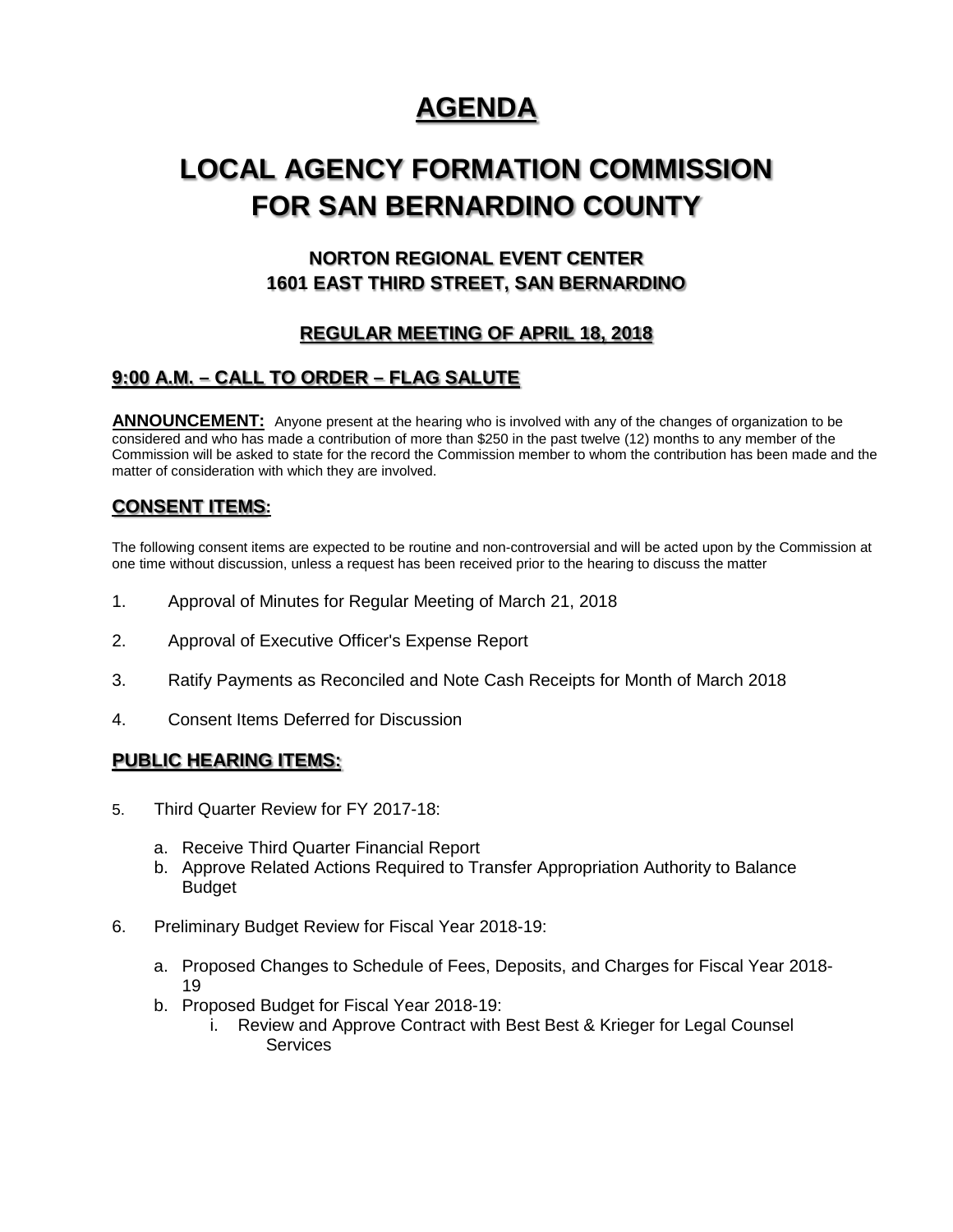# **AGENDA**

# **LOCAL AGENCY FORMATION COMMISSION FOR SAN BERNARDINO COUNTY**

# **NORTON REGIONAL EVENT CENTER 1601 EAST THIRD STREET, SAN BERNARDINO**

# **REGULAR MEETING OF APRIL 18, 2018**

# **9:00 A.M. – CALL TO ORDER – FLAG SALUTE**

**ANNOUNCEMENT:** Anyone present at the hearing who is involved with any of the changes of organization to be considered and who has made a contribution of more than \$250 in the past twelve (12) months to any member of the Commission will be asked to state for the record the Commission member to whom the contribution has been made and the matter of consideration with which they are involved.

### **CONSENT ITEMS:**

The following consent items are expected to be routine and non-controversial and will be acted upon by the Commission at one time without discussion, unless a request has been received prior to the hearing to discuss the matter

- 1. Approval of Minutes for Regular Meeting of March 21, 2018
- 2. Approval of Executive Officer's Expense Report
- 3. Ratify Payments as Reconciled and Note Cash Receipts for Month of March 2018
- 4. Consent Items Deferred for Discussion

#### **PUBLIC HEARING ITEMS:**

- 5. Third Quarter Review for FY 2017-18:
	- a. Receive Third Quarter Financial Report
	- b. Approve Related Actions Required to Transfer Appropriation Authority to Balance Budget
- 6. Preliminary Budget Review for Fiscal Year 2018-19:
	- a. Proposed Changes to Schedule of Fees, Deposits, and Charges for Fiscal Year 2018- 19
	- b. Proposed Budget for Fiscal Year 2018-19:
		- i. Review and Approve Contract with Best Best & Krieger for Legal Counsel **Services**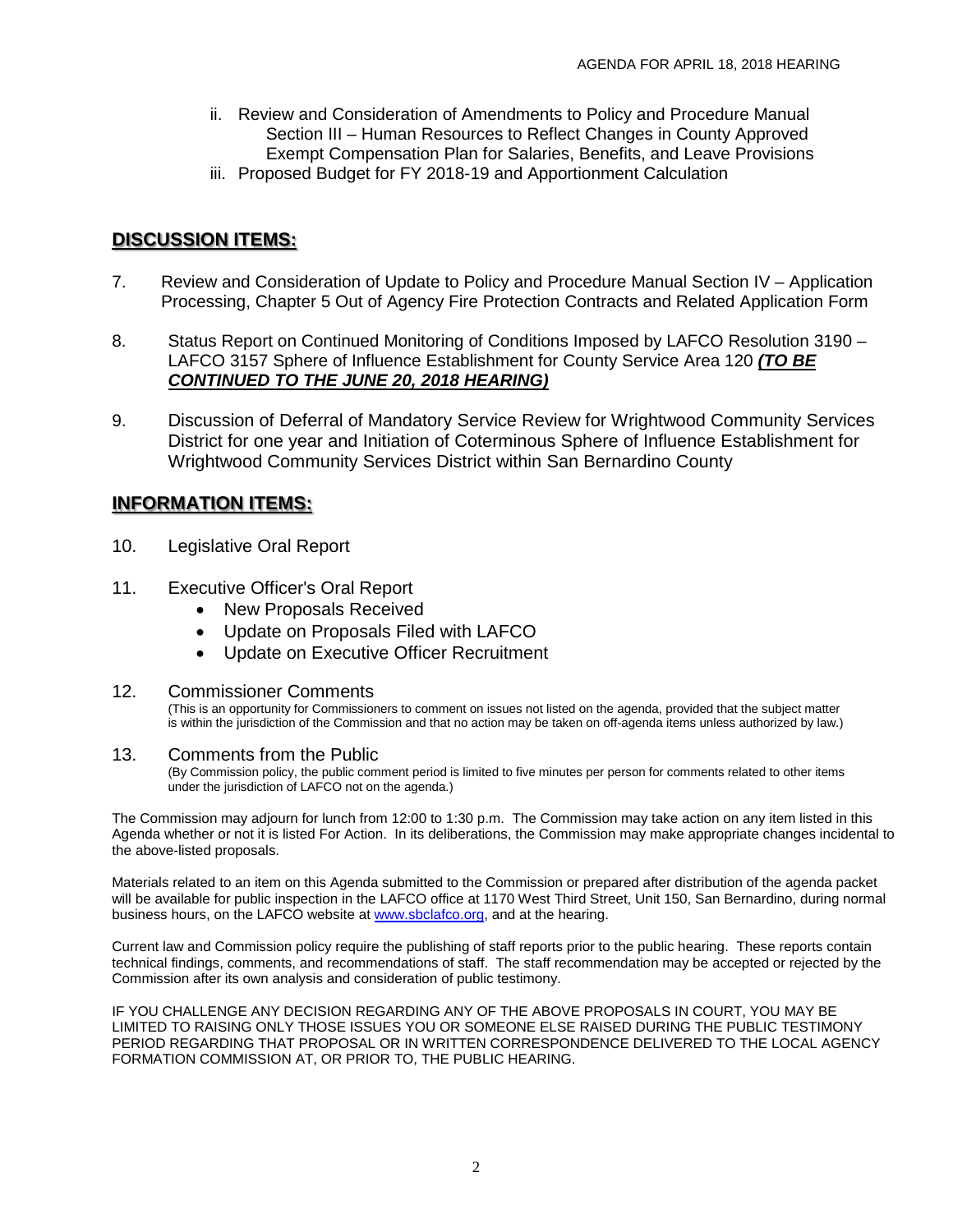- ii. Review and Consideration of Amendments to Policy and Procedure Manual Section III – Human Resources to Reflect Changes in County Approved Exempt Compensation Plan for Salaries, Benefits, and Leave Provisions
- iii. Proposed Budget for FY 2018-19 and Apportionment Calculation

### **DISCUSSION ITEMS:**

- 7. Review and Consideration of Update to Policy and Procedure Manual Section IV Application Processing, Chapter 5 Out of Agency Fire Protection Contracts and Related Application Form
- 8. Status Report on Continued Monitoring of Conditions Imposed by LAFCO Resolution 3190 -LAFCO 3157 Sphere of Influence Establishment for County Service Area 120 *(TO BE CONTINUED TO THE JUNE 20, 2018 HEARING)*
- 9. Discussion of Deferral of Mandatory Service Review for Wrightwood Community Services District for one year and Initiation of Coterminous Sphere of Influence Establishment for Wrightwood Community Services District within San Bernardino County

#### **INFORMATION ITEMS:**

- 10. Legislative Oral Report
- 11. Executive Officer's Oral Report
	- New Proposals Received
	- Update on Proposals Filed with LAFCO
	- Update on Executive Officer Recruitment

#### 12. Commissioner Comments

(This is an opportunity for Commissioners to comment on issues not listed on the agenda, provided that the subject matter is within the jurisdiction of the Commission and that no action may be taken on off-agenda items unless authorized by law.)

#### 13. Comments from the Public

(By Commission policy, the public comment period is limited to five minutes per person for comments related to other items under the jurisdiction of LAFCO not on the agenda.)

The Commission may adjourn for lunch from 12:00 to 1:30 p.m. The Commission may take action on any item listed in this Agenda whether or not it is listed For Action. In its deliberations, the Commission may make appropriate changes incidental to the above-listed proposals.

Materials related to an item on this Agenda submitted to the Commission or prepared after distribution of the agenda packet will be available for public inspection in the LAFCO office at 1170 West Third Street, Unit 150, San Bernardino, during normal business hours, on the LAFCO website a[t www.sbclafco.org,](http://www.sbclafco.org/) and at the hearing.

Current law and Commission policy require the publishing of staff reports prior to the public hearing. These reports contain technical findings, comments, and recommendations of staff. The staff recommendation may be accepted or rejected by the Commission after its own analysis and consideration of public testimony.

IF YOU CHALLENGE ANY DECISION REGARDING ANY OF THE ABOVE PROPOSALS IN COURT, YOU MAY BE LIMITED TO RAISING ONLY THOSE ISSUES YOU OR SOMEONE ELSE RAISED DURING THE PUBLIC TESTIMONY PERIOD REGARDING THAT PROPOSAL OR IN WRITTEN CORRESPONDENCE DELIVERED TO THE LOCAL AGENCY FORMATION COMMISSION AT, OR PRIOR TO, THE PUBLIC HEARING.